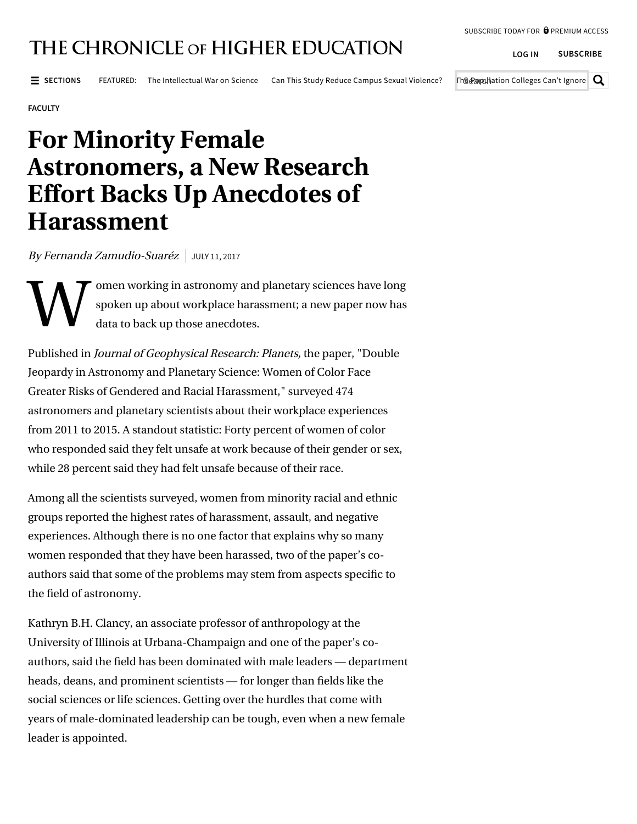**[LOG IN](https://www.chronicle.com/account/login?goto=/article/For-Minority-Female/240605) [SUBSCRIBE](https://www.chronicle.com/subscribe/?PK=M1224&cid=MH1WH1)**

## THE CHRONICLE OF HIGHER EDUCATION

 $\equiv$  SECTIONS FEATURED: [The Intellectual War on Science](https://www.chronicle.com/article/The-Intellectual-War-on/242538?cid=FEATUREDNAV) [Can This Study Reduce Campus Sexual Violence?](https://www.chronicle.com/article/The-Sex-Study-That-Could-Alter/242484?cid=FEATUREDNAV)

Th@@apphation Colleges Can't Ignore  $\vert \mathsf{Q} \vert$ 

**[FACULTY](https://www.chronicle.com/section/Faculty/7)**

## **For Minority Female Astronomers, a New Research Effort Backs Up Anecdotes of Harassment**

By Fernanda Zamudio-Suaréz | JULY 11, 2017

W omen working in astronomy and planetary sciences have long spoken up about [workplace harassment;](http://www.chronicle.com/blogs/ticker/2-sexual-harassment-cases-draw-renewed-attention-to-gender-bias-in-astronomy/107840) a new paper now has data to back up those anecdotes.

Published in Journal of Geophysical Research: Planets, the [paper,](http://onlinelibrary.wiley.com/doi/10.1002/2017JE005256/full?elqTrackId=2709fa160e74445187162267666597d6&elq=1bf01406e379461c9d8e0bf6c8c04d66&elqaid=14652&elqat=1&elqCampaignId=6195) "Double Jeopardy in Astronomy and Planetary Science: Women of Color Face Greater Risks of Gendered and Racial Harassment," surveyed 474 astronomers and planetary scientists about their workplace experiences from 2011 to 2015. A standout statistic: Forty percent of women of color who responded said they [felt unsafe at work](http://www.chronicle.com/article/How-Astronomers-Sought-to/233743) because of their gender or sex, while 28 percent said they had felt unsafe because of their race.

Among all the scientists surveyed, women from minority racial and ethnic groups reported the highest rates of harassment, assault, and negative experiences. Although there is no one factor that explains why so many women responded that they have been harassed, two of the paper's coauthors said that some of the problems may stem from aspects specific to the field of astronomy.

Kathryn B.H. Clancy, an associate professor of anthropology at the University of Illinois at Urbana-Champaign and one of the paper's coauthors, said the field has been dominated with male leaders — department heads, deans, and prominent scientists — for longer than fields like the social sciences or life sciences. Getting over the hurdles that come with years of male-dominated leadership can be tough, even when a new female leader is appointed.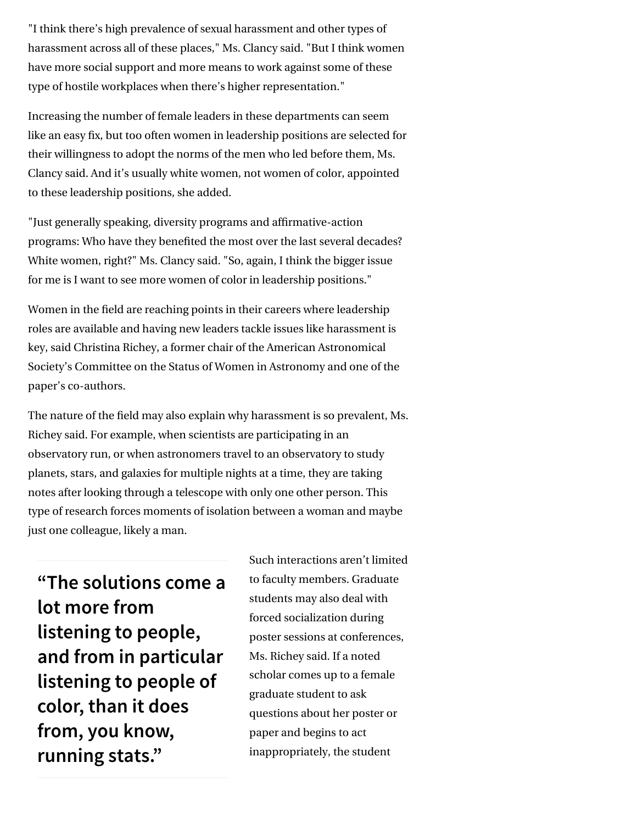"I think there's high prevalence of sexual harassment and other types of harassment across all of these places," Ms. Clancy said. "But I think women have more social support and more means to work against some of these type of hostile workplaces when there's higher representation."

Increasing the number of female leaders in these departments can seem like an easy fix, but too often women in leadership positions are selected for their willingness to adopt the norms of the men who led before them, Ms. Clancy said. And it's usually white women, not women of color, appointed to these leadership positions, she added.

"Just generally speaking, diversity programs and affirmative-action programs: Who have they benefited the most over the last several decades? White women, right?" Ms. Clancy said. "So, again, I think the bigger issue for me is I want to see more women of color in leadership positions."

Women in the field are reaching points in their careers where leadership roles are available and having new leaders tackle issues like harassment is key, said Christina Richey, a former chair of the American Astronomical Society's Committee on the Status of Women in Astronomy and one of the paper's co-authors.

The nature of the field may also explain why harassment is so prevalent, Ms. Richey said. For example, when scientists are participating in an observatory run, or when astronomers travel to an observatory to study planets, stars, and galaxies for multiple nights at a time, they are taking notes after looking through a telescope with only one other person. This type of research forces moments of isolation between a woman and maybe just one colleague, likely a man.

**"The solutions come a lot more from listening to people, and from in particular listening to people of color, than it does from, you know, running stats."**

Such interactions aren't limited to faculty members. Graduate students may also deal with forced socialization during poster sessions at conferences, Ms. Richey said. If a noted scholar comes up to a female graduate student to ask questions about her poster or paper and begins to act inappropriately, the student